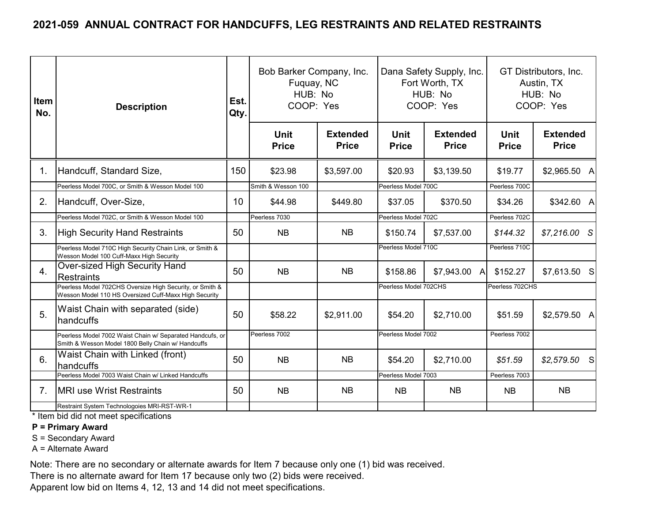| Item<br>No.    | <b>Description</b>                                                                                                | Est.<br>Qty. | Bob Barker Company, Inc.<br>Fuquay, NC<br>HUB: No<br>COOP: Yes |                                 |                             | Dana Safety Supply, Inc.<br>Fort Worth, TX<br>HUB: No<br>COOP: Yes |                      | GT Distributors, Inc.<br>Austin, TX<br>HUB: No<br>COOP: Yes |
|----------------|-------------------------------------------------------------------------------------------------------------------|--------------|----------------------------------------------------------------|---------------------------------|-----------------------------|--------------------------------------------------------------------|----------------------|-------------------------------------------------------------|
|                |                                                                                                                   |              | Unit<br><b>Price</b>                                           | <b>Extended</b><br><b>Price</b> | <b>Unit</b><br><b>Price</b> | <b>Extended</b><br><b>Price</b>                                    | Unit<br><b>Price</b> | <b>Extended</b><br><b>Price</b>                             |
| 1 <sub>1</sub> | Handcuff, Standard Size,                                                                                          | 150          | \$23.98                                                        | \$3,597.00                      | \$20.93                     | \$3,139.50                                                         | \$19.77              | \$2,965.50 A                                                |
|                | Peerless Model 700C, or Smith & Wesson Model 100                                                                  |              | Smith & Wesson 100                                             |                                 | Peerless Model 700C         |                                                                    | Peerless 700C        |                                                             |
| 2.             | Handcuff, Over-Size,                                                                                              | 10           | \$44.98                                                        | \$449.80                        | \$37.05                     | \$370.50                                                           | \$34.26              | \$342.60 A                                                  |
|                | Peerless Model 702C, or Smith & Wesson Model 100                                                                  |              | Peerless 7030                                                  |                                 | Peerless Model 702C         |                                                                    | Peerless 702C        |                                                             |
| 3.             | <b>High Security Hand Restraints</b>                                                                              | 50           | <b>NB</b>                                                      | <b>NB</b>                       | \$150.74                    | \$7,537.00                                                         | \$144.32             | $$7,216.00$ S                                               |
|                | Peerless Model 710C High Security Chain Link, or Smith &<br>Wesson Model 100 Cuff-Maxx High Security              |              |                                                                |                                 | Peerless Model 710C         |                                                                    | Peerless 710C        |                                                             |
| 4.             | Over-sized High Security Hand<br>lRestraints                                                                      | 50           | <b>NB</b>                                                      | <b>NB</b>                       | \$158.86                    | \$7,943.00 A                                                       | \$152.27             | \$7,613.50 S                                                |
|                | Peerless Model 702CHS Oversize High Security, or Smith &<br>Wesson Model 110 HS Oversized Cuff-Maxx High Security |              |                                                                |                                 | Peerless Model 702CHS       |                                                                    | Peerless 702CHS      |                                                             |
| 5.             | Waist Chain with separated (side)<br>handcuffs                                                                    | 50           | \$58.22                                                        | \$2,911.00                      | \$54.20                     | \$2,710.00                                                         | \$51.59              | $$2,579.50$ A                                               |
|                | Peerless Model 7002 Waist Chain w/ Separated Handcufs, or<br>Smith & Wesson Model 1800 Belly Chain w/ Handcuffs   |              | Peerless 7002                                                  |                                 | Peerless Model 7002         |                                                                    | Peerless 7002        |                                                             |
| 6.             | Waist Chain with Linked (front)<br>handcuffs                                                                      | 50           | <b>NB</b>                                                      | <b>NB</b>                       | \$54.20                     | \$2,710.00                                                         | \$51.59              | $$2,579.50$ S                                               |
|                | Peerless Model 7003 Waist Chain w/ Linked Handcuffs                                                               |              |                                                                |                                 |                             | Peerless Model 7003                                                |                      |                                                             |
| 7 <sub>1</sub> | <b>IMRI use Wrist Restraints</b>                                                                                  | 50           | <b>NB</b>                                                      | <b>NB</b>                       | <b>NB</b><br><b>NB</b>      |                                                                    | <b>NB</b>            | <b>NB</b>                                                   |
|                | Restraint System Technologoies MRI-RST-WR-1                                                                       |              |                                                                |                                 |                             |                                                                    |                      |                                                             |

\* Item bid did not meet specifications

#### **P = Primary Award**

S = Secondary Award

A = Alternate Award

Note: There are no secondary or alternate awards for Item 7 because only one (1) bid was received.

There is no alternate award for Item 17 because only two (2) bids were received.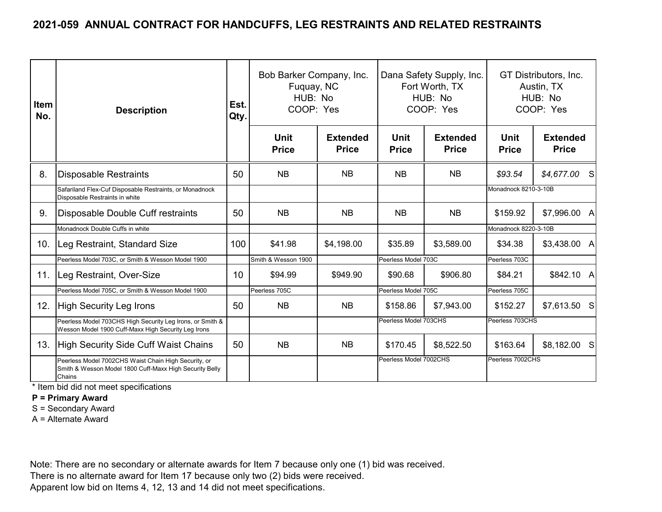| <b>Item</b><br>No. | <b>Description</b>                                                                                                        | Est.<br>Qty.    | Bob Barker Company, Inc.<br>Fuquay, NC<br>HUB: No<br>COOP: Yes |                                 |                             | Dana Safety Supply, Inc.<br>Fort Worth, TX<br>HUB: No<br>COOP: Yes | GT Distributors, Inc.<br>Austin, TX<br>HUB: No<br>COOP: Yes |                                 |
|--------------------|---------------------------------------------------------------------------------------------------------------------------|-----------------|----------------------------------------------------------------|---------------------------------|-----------------------------|--------------------------------------------------------------------|-------------------------------------------------------------|---------------------------------|
|                    |                                                                                                                           |                 | <b>Unit</b><br><b>Price</b>                                    | <b>Extended</b><br><b>Price</b> | <b>Unit</b><br><b>Price</b> | <b>Extended</b><br><b>Price</b>                                    | <b>Unit</b><br><b>Price</b>                                 | <b>Extended</b><br><b>Price</b> |
| 8.                 | <b>Disposable Restraints</b>                                                                                              | 50              | <b>NB</b>                                                      | <b>NB</b>                       | <b>NB</b>                   | NB                                                                 | \$93.54                                                     | $$4,677.00$ S                   |
|                    | Safariland Flex-Cuf Disposable Restraints, or Monadnock<br>Disposable Restraints in white                                 |                 |                                                                |                                 |                             |                                                                    | Monadnock 8210-3-10B                                        |                                 |
| 9.                 | Disposable Double Cuff restraints                                                                                         | 50              | <b>NB</b>                                                      | <b>NB</b>                       | <b>NB</b>                   | NB                                                                 | \$159.92                                                    | \$7,996.00 A                    |
|                    | Monadnock Double Cuffs in white                                                                                           |                 |                                                                |                                 |                             |                                                                    | Monadnock 8220-3-10B                                        |                                 |
| 10.                | Leg Restraint, Standard Size                                                                                              | 100             | \$41.98                                                        | \$4,198.00                      | \$35.89                     | \$3,589.00                                                         | \$34.38                                                     | \$3,438.00 A                    |
|                    | Peerless Model 703C, or Smith & Wesson Model 1900                                                                         |                 | Smith & Wesson 1900                                            |                                 | Peerless Model 703C         |                                                                    | Peerless 703C                                               |                                 |
| 11.                | Leg Restraint, Over-Size                                                                                                  | 10 <sup>°</sup> | \$94.99                                                        | \$949.90                        | \$90.68                     | \$906.80                                                           | \$84.21                                                     | \$842.10 A                      |
|                    | Peerless Model 705C, or Smith & Wesson Model 1900                                                                         |                 | Peerless 705C                                                  |                                 | Peerless Model 705C         |                                                                    | Peerless 705C                                               |                                 |
| 12.                | <b>High Security Leg Irons</b>                                                                                            | 50              | <b>NB</b>                                                      | <b>NB</b>                       | \$158.86                    | \$7,943.00                                                         | \$152.27                                                    | \$7,613.50 S                    |
|                    | Peerless Model 703CHS High Security Leg Irons, or Smith &<br>Wesson Model 1900 Cuff-Maxx High Security Leg Irons          |                 |                                                                |                                 | Peerless Model 703CHS       |                                                                    | Peerless 703CHS                                             |                                 |
| 13.                | <b>High Security Side Cuff Waist Chains</b>                                                                               | 50              | <b>NB</b>                                                      | NB.                             | \$170.45                    | \$8,522.50                                                         | \$163.64                                                    | \$8,182.00 S                    |
|                    | Peerless Model 7002CHS Waist Chain High Security, or<br>Smith & Wesson Model 1800 Cuff-Maxx High Security Belly<br>Chains |                 |                                                                |                                 | Peerless Model 7002CHS      |                                                                    | Peerless 7002CHS                                            |                                 |

\* Item bid did not meet specifications

**P = Primary Award**

S = Secondary Award

A = Alternate Award

Note: There are no secondary or alternate awards for Item 7 because only one (1) bid was received.

There is no alternate award for Item 17 because only two (2) bids were received.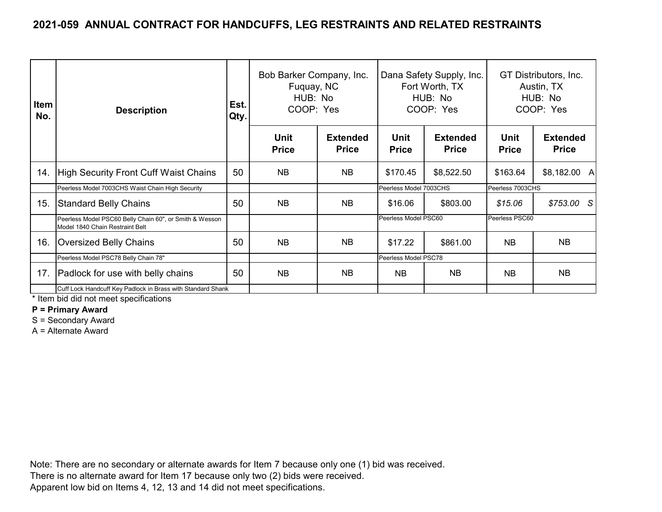| Item<br>No. | Est.<br><b>Description</b><br>Qty.                                                         |    | Bob Barker Company, Inc.<br>Fuquay, NC<br>HUB: No<br>COOP: Yes |                                 |                             | Dana Safety Supply, Inc.<br>Fort Worth, TX<br>HUB: No<br>COOP: Yes | GT Distributors, Inc.<br>Austin, TX<br>HUB: No<br>COOP: Yes |                                 |
|-------------|--------------------------------------------------------------------------------------------|----|----------------------------------------------------------------|---------------------------------|-----------------------------|--------------------------------------------------------------------|-------------------------------------------------------------|---------------------------------|
|             |                                                                                            |    | <b>Unit</b><br><b>Price</b>                                    | <b>Extended</b><br><b>Price</b> | <b>Unit</b><br><b>Price</b> | <b>Extended</b><br><b>Price</b>                                    | <b>Unit</b><br><b>Price</b>                                 | <b>Extended</b><br><b>Price</b> |
| 14.         | <b>High Security Front Cuff Waist Chains</b>                                               | 50 | <b>NB</b>                                                      | <b>NB</b>                       | \$170.45                    | \$8,522.50                                                         | \$163.64                                                    | \$8,182.00 A                    |
|             | Peerless Model 7003CHS Waist Chain High Security                                           |    |                                                                |                                 | Peerless Model 7003CHS      |                                                                    | Peerless 7003CHS                                            |                                 |
| 15.         | <b>Standard Belly Chains</b>                                                               | 50 | <b>NB</b>                                                      | NB.                             | \$16.06                     | \$803.00                                                           | \$15.06                                                     | $$753.00$ S                     |
|             | Peerless Model PSC60 Belly Chain 60", or Smith & Wesson<br>Model 1840 Chain Restraint Belt |    |                                                                |                                 | Peerless Model PSC60        |                                                                    | Peerless PSC60                                              |                                 |
| 16.         | <b>Oversized Belly Chains</b>                                                              | 50 | <b>NB</b>                                                      | <b>NB</b>                       | \$17.22                     | \$861.00                                                           | <b>NB</b>                                                   | <b>NB</b>                       |
|             | Peerless Model PSC78 Belly Chain 78"                                                       |    |                                                                |                                 | Peerless Model PSC78        |                                                                    |                                                             |                                 |
| 17.         | Padlock for use with belly chains                                                          | 50 | <b>NB</b>                                                      | NB.                             | <b>NB</b>                   | NB.                                                                | <b>NB</b>                                                   | <b>NB</b>                       |
|             | Cuff Lock Handcuff Key Padlock in Brass with Standard Shank                                |    |                                                                |                                 |                             |                                                                    |                                                             |                                 |

\* Item bid did not meet specifications

**P = Primary Award**

S = Secondary Award

A = Alternate Award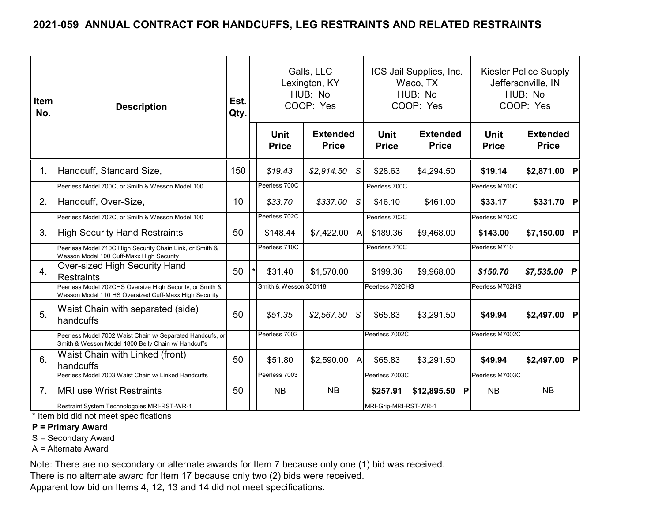| <b>Item</b><br>No. | <b>Description</b>                                                                                                | Est.<br>Qty. |                       | Galls, LLC<br>Lexington, KY<br>HUB: No<br>COOP: Yes |                       | ICS Jail Supplies, Inc.<br>Waco, TX<br>HUB: No<br>COOP: Yes | <b>Kiesler Police Supply</b><br>Jeffersonville, IN<br>HUB: No<br>COOP: Yes |                                 |
|--------------------|-------------------------------------------------------------------------------------------------------------------|--------------|-----------------------|-----------------------------------------------------|-----------------------|-------------------------------------------------------------|----------------------------------------------------------------------------|---------------------------------|
|                    |                                                                                                                   |              | Unit<br><b>Price</b>  | <b>Extended</b><br><b>Price</b>                     | Unit<br><b>Price</b>  | <b>Extended</b><br><b>Price</b>                             | Unit<br><b>Price</b>                                                       | <b>Extended</b><br><b>Price</b> |
| 1.                 | Handcuff, Standard Size,                                                                                          | 150          | \$19.43               | $$2,914.50$ S                                       | \$28.63               | \$4,294.50                                                  | \$19.14                                                                    | \$2,871.00 P                    |
|                    | Peerless Model 700C, or Smith & Wesson Model 100                                                                  |              | Peerless 700C         |                                                     | Peerless 700C         |                                                             | Peerless M700C                                                             |                                 |
| 2.                 | Handcuff, Over-Size,                                                                                              | 10           | \$33.70               | \$337.00 S                                          | \$46.10               | \$461.00                                                    | \$33.17                                                                    | \$331.70 P                      |
|                    | Peerless Model 702C, or Smith & Wesson Model 100                                                                  |              | Peerless 702C         |                                                     | Peerless 702C         |                                                             | Peerless M702C                                                             |                                 |
| 3.                 | High Security Hand Restraints                                                                                     | 50           | \$148.44              | $$7,422.00$ A                                       | \$189.36              | \$9,468.00                                                  | \$143.00                                                                   | \$7,150.00 P                    |
|                    | Peerless Model 710C High Security Chain Link, or Smith &<br>Wesson Model 100 Cuff-Maxx High Security              |              | Peerless 710C         |                                                     | Peerless 710C         |                                                             | Peerless M710                                                              |                                 |
| 4.                 | Over-sized High Security Hand<br>Restraints                                                                       | 50           | \$31.40               | \$1,570.00                                          | \$199.36              | \$9,968.00                                                  | \$150.70                                                                   | $$7,535.00$ P                   |
|                    | Peerless Model 702CHS Oversize High Security, or Smith &<br>Wesson Model 110 HS Oversized Cuff-Maxx High Security |              | Smith & Wesson 350118 |                                                     | Peerless 702CHS       |                                                             | Peerless M702HS                                                            |                                 |
| 5.                 | Waist Chain with separated (side)<br><b>handcuffs</b>                                                             | 50           | \$51.35               | \$2,567.50<br>S.                                    | \$65.83               | \$3,291.50                                                  | \$49.94                                                                    | \$2,497.00 P                    |
|                    | Peerless Model 7002 Waist Chain w/ Separated Handcufs, or<br>Smith & Wesson Model 1800 Belly Chain w/ Handcuffs   |              | Peerless 7002         |                                                     | Peerless 7002C        |                                                             | Peerless M7002C                                                            |                                 |
| 6.                 | Waist Chain with Linked (front)<br><b>handcuffs</b>                                                               | 50           | \$51.80               | \$2,590.00<br>$\mathsf{A}$                          | \$65.83               | \$3,291.50                                                  | \$49.94                                                                    | \$2,497.00 P                    |
|                    | Peerless Model 7003 Waist Chain w/ Linked Handcuffs                                                               |              | Peerless 7003         |                                                     | Peerless 7003C        |                                                             | Peerless M7003C                                                            |                                 |
| 7 <sub>1</sub>     | <b>IMRI use Wrist Restraints</b>                                                                                  | 50           | <b>NB</b>             | <b>NB</b>                                           | \$257.91              | \$12,895.50 P                                               | <b>NB</b>                                                                  | <b>NB</b>                       |
|                    | Restraint System Technologoies MRI-RST-WR-1                                                                       |              |                       |                                                     | MRI-Grip-MRI-RST-WR-1 |                                                             |                                                                            |                                 |

\* Item bid did not meet specifications

#### **P = Primary Award**

S = Secondary Award

A = Alternate Award

Note: There are no secondary or alternate awards for Item 7 because only one (1) bid was received.

There is no alternate award for Item 17 because only two (2) bids were received.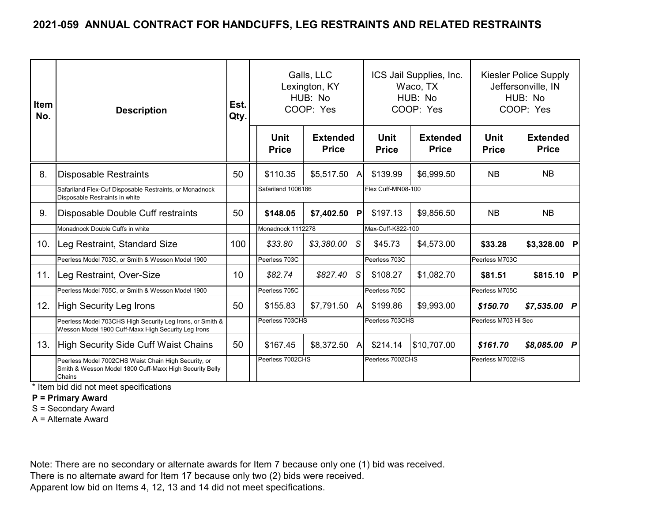| <b>Item</b><br>No. | <b>Description</b>                                                                                                        |     |                      | Galls, LLC<br>Lexington, KY<br>HUB: No<br>COOP: Yes |                 |                      | ICS Jail Supplies, Inc.<br>Waco, TX<br>HUB: No<br>COOP: Yes |                             | Kiesler Police Supply<br>Jeffersonville, IN<br>HUB: No<br>COOP: Yes |
|--------------------|---------------------------------------------------------------------------------------------------------------------------|-----|----------------------|-----------------------------------------------------|-----------------|----------------------|-------------------------------------------------------------|-----------------------------|---------------------------------------------------------------------|
|                    |                                                                                                                           |     | Unit<br><b>Price</b> | <b>Extended</b><br><b>Price</b>                     |                 | Unit<br><b>Price</b> | <b>Extended</b><br><b>Price</b>                             | <b>Unit</b><br><b>Price</b> | <b>Extended</b><br><b>Price</b>                                     |
| 8.                 | <b>Disposable Restraints</b>                                                                                              | 50  | \$110.35             | \$5,517.50                                          | A               | \$139.99             | \$6,999.50                                                  | <b>NB</b>                   | <b>NB</b>                                                           |
|                    | Safariland Flex-Cuf Disposable Restraints, or Monadnock<br>Disposable Restraints in white                                 |     | Safariland 1006186   |                                                     |                 | Flex Cuff-MN08-100   |                                                             |                             |                                                                     |
| 9.                 | Disposable Double Cuff restraints                                                                                         | 50  | \$148.05             | \$7,402.50                                          | P               | \$197.13             | \$9,856.50                                                  | <b>NB</b>                   | <b>NB</b>                                                           |
|                    | Monadnock Double Cuffs in white                                                                                           |     | Monadnock 1112278    |                                                     |                 | Max-Cuff-K822-100    |                                                             |                             |                                                                     |
| 10.                | Leg Restraint, Standard Size                                                                                              | 100 | \$33.80              | \$3,380.00                                          | S.              | \$45.73              | \$4,573.00                                                  | \$33.28                     | \$3,328.00 P                                                        |
|                    | Peerless Model 703C, or Smith & Wesson Model 1900                                                                         |     | Peerless 703C        |                                                     |                 | Peerless 703C        |                                                             | Peerless M703C              |                                                                     |
| 11.                | Leg Restraint, Over-Size                                                                                                  | 10  | \$82.74              | \$827.40                                            | -S              | \$108.27             | \$1,082.70                                                  | \$81.51                     | \$815.10 P                                                          |
|                    | Peerless Model 705C, or Smith & Wesson Model 1900                                                                         |     | Peerless 705C        |                                                     |                 | Peerless 705C        |                                                             | Peerless M705C              |                                                                     |
| 12.                | <b>High Security Leg Irons</b>                                                                                            | 50  | \$155.83             | \$7,791.50                                          | Al              | \$199.86             | \$9,993.00                                                  | \$150.70                    | $$7,535.00$ P                                                       |
|                    | Peerless Model 703CHS High Security Leg Irons, or Smith &<br>Wesson Model 1900 Cuff-Maxx High Security Leg Irons          |     | Peerless 703CHS      |                                                     | Peerless 703CHS |                      | Peerless M703 Hi Sec                                        |                             |                                                                     |
| 13.                | High Security Side Cuff Waist Chains                                                                                      | 50  | \$167.45             | \$8,372.50                                          | A               | \$214.14             | \$10,707.00                                                 | \$161.70                    | \$8,085.00 P                                                        |
|                    | Peerless Model 7002CHS Waist Chain High Security, or<br>Smith & Wesson Model 1800 Cuff-Maxx High Security Belly<br>Chains |     | Peerless 7002CHS     |                                                     |                 | Peerless 7002CHS     |                                                             | Peerless M7002HS            |                                                                     |

\* Item bid did not meet specifications

**P = Primary Award**

S = Secondary Award

A = Alternate Award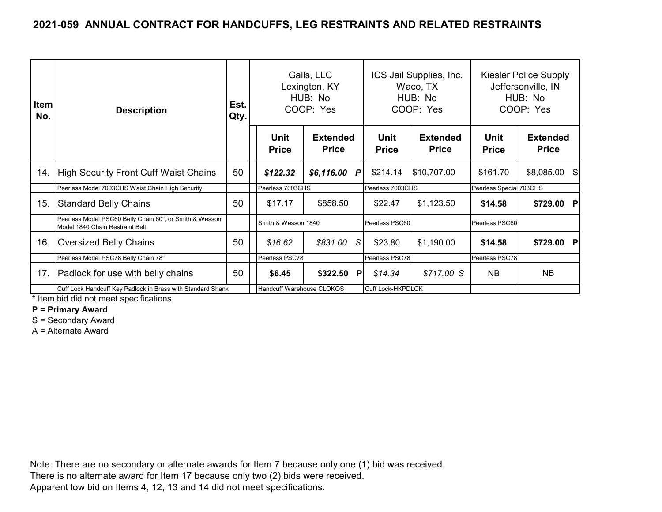| <b>Item</b><br>No. | <b>Description</b>                                                                         | Est.<br>Qty. |                             | Galls, LLC<br>Lexington, KY<br>HUB: No<br>COOP: Yes |                             | ICS Jail Supplies, Inc.<br>Waco, TX<br>HUB: No<br>COOP: Yes | Kiesler Police Supply<br>Jeffersonville, IN<br>HUB: No<br>COOP: Yes |                                 |
|--------------------|--------------------------------------------------------------------------------------------|--------------|-----------------------------|-----------------------------------------------------|-----------------------------|-------------------------------------------------------------|---------------------------------------------------------------------|---------------------------------|
|                    |                                                                                            |              | <b>Unit</b><br><b>Price</b> | <b>Extended</b><br><b>Price</b>                     | <b>Unit</b><br><b>Price</b> | <b>Extended</b><br><b>Price</b>                             | <b>Unit</b><br><b>Price</b>                                         | <b>Extended</b><br><b>Price</b> |
| 14.                | <b>High Security Front Cuff Waist Chains</b>                                               | 50           | \$122.32                    | \$6,116.00 P                                        | \$214.14                    | \$10,707.00                                                 | \$161.70                                                            | \$8,085.00 S                    |
|                    | Peerless Model 7003CHS Waist Chain High Security                                           |              | Peerless 7003CHS            |                                                     | Peerless 7003CHS            |                                                             | Peerless Special 703CHS                                             |                                 |
| 15.                | <b>Standard Belly Chains</b>                                                               | 50           | \$17.17                     | \$858.50                                            | \$22.47                     | \$1,123.50                                                  | \$14.58                                                             | \$729.00 P                      |
|                    | Peerless Model PSC60 Belly Chain 60", or Smith & Wesson<br>Model 1840 Chain Restraint Belt |              | Smith & Wesson 1840         |                                                     | Peerless PSC60              |                                                             | Peerless PSC60                                                      |                                 |
| 16.                | Oversized Belly Chains                                                                     | 50           | \$16.62                     | \$831.00<br>S.                                      | \$23.80                     | \$1,190.00                                                  | \$14.58                                                             | \$729.00 P                      |
|                    | Peerless Model PSC78 Belly Chain 78"                                                       |              | Peerless PSC78              |                                                     | Peerless PSC78              |                                                             | Peerless PSC78                                                      |                                 |
| 17.                | Padlock for use with belly chains                                                          | 50           | \$6.45                      | \$322.50<br><b>P</b>                                | \$14.34                     | \$717.00 S                                                  | <b>NB</b>                                                           | NB.                             |
|                    | Cuff Lock Handcuff Key Padlock in Brass with Standard Shank                                |              | Handcuff Warehouse CLOKOS   |                                                     | <b>Cuff Lock-HKPDLCK</b>    |                                                             |                                                                     |                                 |

\* Item bid did not meet specifications

**P = Primary Award**

S = Secondary Award

A = Alternate Award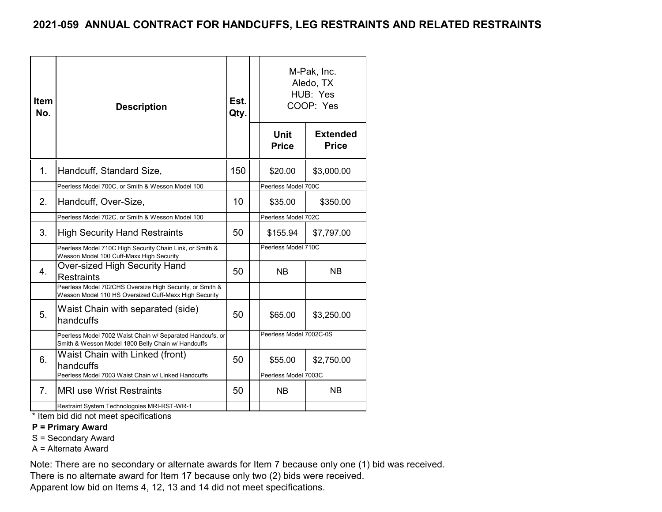| Item<br>No. | <b>Description</b>                                                                                                                                                                                                                                                           | Est.<br>Qty. |                             | M-Pak, Inc.<br>Aledo, TX<br>HUB: Yes<br>COOP: Yes |  |
|-------------|------------------------------------------------------------------------------------------------------------------------------------------------------------------------------------------------------------------------------------------------------------------------------|--------------|-----------------------------|---------------------------------------------------|--|
|             |                                                                                                                                                                                                                                                                              |              | <b>Unit</b><br><b>Price</b> | <b>Extended</b><br><b>Price</b>                   |  |
| 1.          | Handcuff, Standard Size,                                                                                                                                                                                                                                                     | 150          | \$20.00                     | \$3,000.00                                        |  |
|             | Peerless Model 700C, or Smith & Wesson Model 100                                                                                                                                                                                                                             |              | Peerless Model 700C         |                                                   |  |
| 2.          | Handcuff, Over-Size,                                                                                                                                                                                                                                                         | 10           | \$35.00                     | \$350.00                                          |  |
|             | Peerless Model 702C, or Smith & Wesson Model 100                                                                                                                                                                                                                             |              | Peerless Model 702C         |                                                   |  |
| 3.          | <b>High Security Hand Restraints</b>                                                                                                                                                                                                                                         | 50           | \$155.94                    | \$7,797.00                                        |  |
|             | Peerless Model 710C High Security Chain Link, or Smith &<br>Wesson Model 100 Cuff-Maxx High Security                                                                                                                                                                         |              | Peerless Model 710C         |                                                   |  |
| 4.          | <b>Over-sized High Security Hand</b><br><b>Restraints</b>                                                                                                                                                                                                                    | 50           | <b>NB</b>                   | NΒ                                                |  |
|             | Peerless Model 702CHS Oversize High Security, or Smith &<br>Wesson Model 110 HS Oversized Cuff-Maxx High Security                                                                                                                                                            |              |                             |                                                   |  |
| 5.          | Waist Chain with separated (side)<br>handcuffs                                                                                                                                                                                                                               | 50           | \$65.00                     | \$3,250.00                                        |  |
|             | Peerless Model 7002 Waist Chain w/ Separated Handcufs, or<br>Smith & Wesson Model 1800 Belly Chain w/ Handcuffs                                                                                                                                                              |              | Peerless Model 7002C-0S     |                                                   |  |
| 6.          | Waist Chain with Linked (front)<br>handcuffs                                                                                                                                                                                                                                 | 50           | \$55.00                     | \$2,750.00                                        |  |
|             | Peerless Model 7003 Waist Chain w/ Linked Handcuffs                                                                                                                                                                                                                          |              | Peerless Model 7003C        |                                                   |  |
| 7.          | <b>IMRI use Wrist Restraints</b>                                                                                                                                                                                                                                             | 50           | <b>NB</b>                   | <b>NB</b>                                         |  |
|             | Restraint System Technologoies MRI-RST-WR-1<br>the state of the contract of the state of the contract of the contract of the contract of the contract of the contract of the contract of the contract of the contract of the contract of the contract of the contract of the |              |                             |                                                   |  |

\* Item bid did not meet specifications

#### **P = Primary Award**

S = Secondary Award

A = Alternate Award

Note: There are no secondary or alternate awards for Item 7 because only one (1) bid was received.

There is no alternate award for Item 17 because only two (2) bids were received.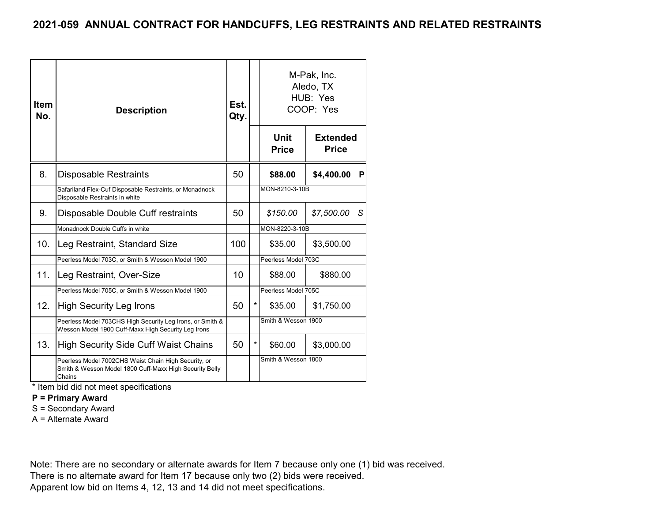| <b>Item</b><br>No. | <b>Description</b>                                                                                                        | Est.<br>Qty. |         | M-Pak, Inc.<br>Aledo, TX<br>HUB: Yes<br>COOP: Yes |                                 |   |  |
|--------------------|---------------------------------------------------------------------------------------------------------------------------|--------------|---------|---------------------------------------------------|---------------------------------|---|--|
|                    |                                                                                                                           |              |         | Unit<br><b>Price</b>                              | <b>Extended</b><br><b>Price</b> |   |  |
| 8.                 | <b>Disposable Restraints</b>                                                                                              | 50           |         | \$88.00                                           | \$4,400.00                      | P |  |
|                    | Safariland Flex-Cuf Disposable Restraints, or Monadnock<br>Disposable Restraints in white                                 |              |         | MON-8210-3-10B                                    |                                 |   |  |
| 9.                 | Disposable Double Cuff restraints                                                                                         | 50           |         | \$150.00                                          | \$7,500.00                      | S |  |
|                    | Monadnock Double Cuffs in white                                                                                           |              |         | MON-8220-3-10B                                    |                                 |   |  |
| 10.                | Leg Restraint, Standard Size                                                                                              | 100          |         | \$35.00                                           | \$3,500.00                      |   |  |
|                    | Peerless Model 703C, or Smith & Wesson Model 1900                                                                         |              |         | Peerless Model 703C                               |                                 |   |  |
| 11.                | Leg Restraint, Over-Size                                                                                                  | 10           |         | \$88.00                                           | \$880.00                        |   |  |
|                    | Peerless Model 705C, or Smith & Wesson Model 1900                                                                         |              |         | Peerless Model 705C                               |                                 |   |  |
| 12.                | <b>High Security Leg Irons</b>                                                                                            | 50           | $\star$ | \$35.00                                           | \$1,750.00                      |   |  |
|                    | Peerless Model 703CHS High Security Leg Irons, or Smith &<br>Wesson Model 1900 Cuff-Maxx High Security Leg Irons          |              |         | Smith & Wesson 1900                               |                                 |   |  |
| 13.                | <b>High Security Side Cuff Waist Chains</b>                                                                               | 50           | $\star$ | \$60.00                                           | \$3,000.00                      |   |  |
|                    | Peerless Model 7002CHS Waist Chain High Security, or<br>Smith & Wesson Model 1800 Cuff-Maxx High Security Belly<br>Chains |              |         | Smith & Wesson 1800                               |                                 |   |  |

\* Item bid did not meet specifications

**P = Primary Award**

S = Secondary Award

A = Alternate Award